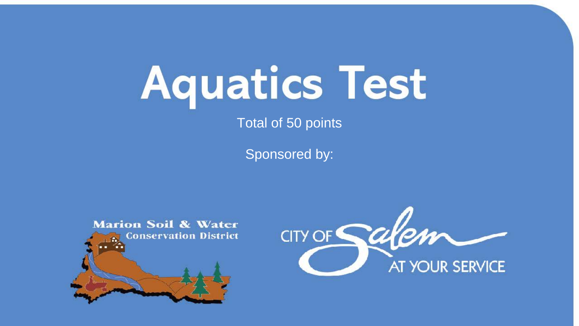## **Aquatics Test**

Total of 50 points

Sponsored by:



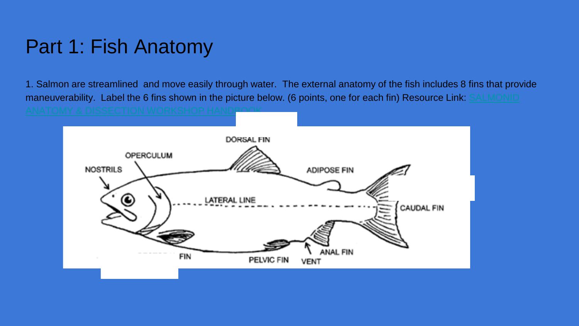1. Salmon are streamlined and move easily through water. The external anatomy of the fish includes 8 fins that provide [maneuverability. Label the 6 fins shown in the picture below. \(6 points, one for each fin\) Resource Link: SALMONID](https://silo.tips/download/salmonid-anatomy-dissection-workshop-handbook)



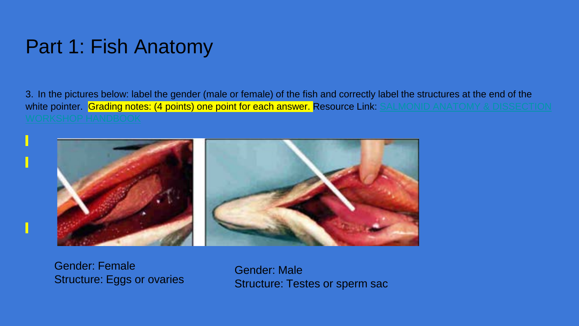3. In the pictures below: label the gender (male or female) of the fish and correctly label the structures at the end of the white pointer. Grading notes: (4 points) one point for each answer. Resource Link: SALMONID ANATOMY & DISSECTION



Gender: Female Structure: Eggs or ovaries

Gender: Male Structure: Testes or sperm sac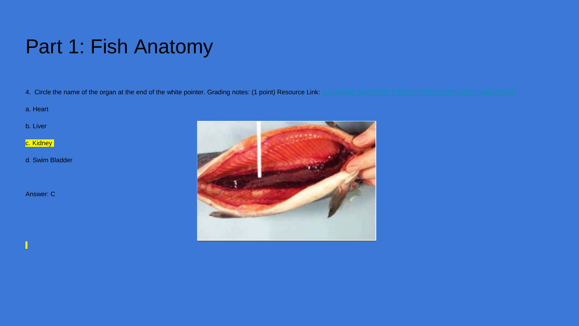4. Circle the name of the organ at the end of the white pointer. Grading notes: (1 point) Resource Link: [SALMONID ANATOMY & DISSECTION WORKSHOP HANDBOOK](https://silo.tips/download/salmonid-anatomy-dissection-workshop-handbook)

a. Heart

b. Liver

c. Kidney

d. Swim Bladder

Answer: C

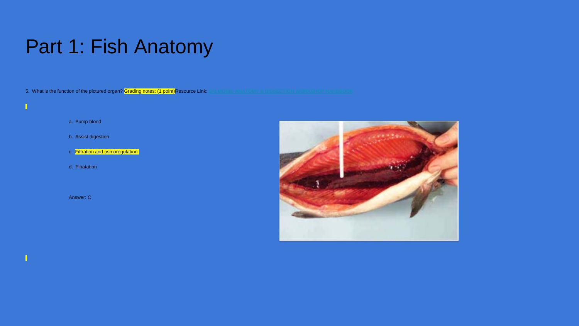5. What is the function of the pictured organ? Grading notes: (1 point)Resource Link: [SALMONID ANATOMY & DISSECTION WORKSHOP HANDBOOK](https://silo.tips/download/salmonid-anatomy-dissection-workshop-handbook)

a. Pump blood

 $\blacksquare$ 

- b. Assist digestion
- c. Filtration and osmoregulation
- d. Floatation

Answer: C

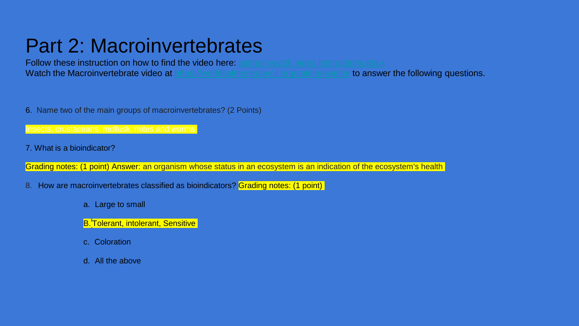#### Part 2: Macroinvertebrates

Follow these instruction on how to find the video here: [salmon watch video instructions.docx](https://docs.google.com/document/d/1r7MnUyb6-18Iz4oh31SgyYa8p11WDwqy/edit#heading=h.gjdgxs), Wa[t](https://worldsalmoncouncil.org/salmonwatch/)ch the Macroinvertebrate video at <https://worldsalmoncouncil.org/salmonwatch/> to answer the following questions.

6. Name two of the main groups of macroinvertebrates? (2 Points)

7. What is a bioindicator?

Grading notes: (1 point) Answer: an organism whose status in an ecosystem is an indication of the ecosystem's health

8. How are macroinvertebrates classified as bioindicators? Grading notes: (1 point)

- a. Large to small
- B. Tolerant, intolerant, Sensitive
- c. Coloration
- d. All the above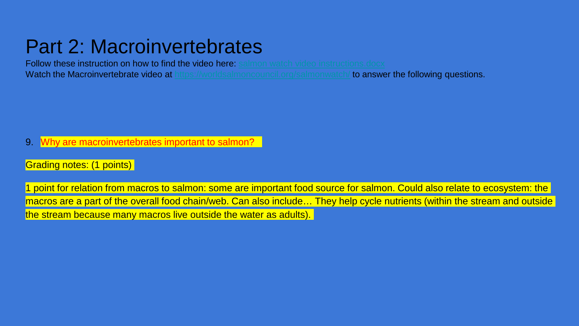#### Part 2: Macroinvertebrates

**Follow these instruction on how to find the video here:** [salmon watch video instructions.docx](https://docs.google.com/document/d/1r7MnUyb6-18Iz4oh31SgyYa8p11WDwqy/edit#heading=h.gjdgxs) Wa[t](https://worldsalmoncouncil.org/salmonwatch/)ch the Macroinvertebrate video at <https://worldsalmoncouncil.org/salmonwatch/> to answer the following questions.

- 9. Why are macroinvertebrates important to salmon?
- Grading notes: (1 points)

1 point for relation from macros to salmon: some are important food source for salmon. Could also relate to ecosystem: the macros are a part of the overall food chain/web. Can also include... They help cycle nutrients (within the stream and outside the stream because many macros live outside the water as adults).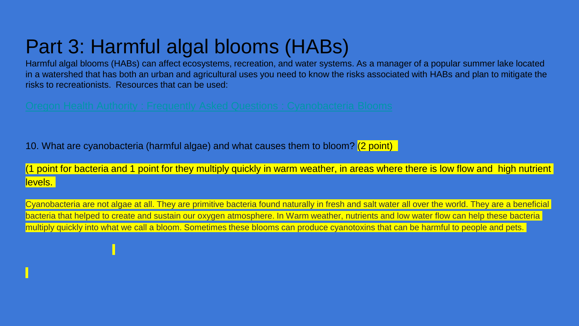#### Part 3: Harmful algal blooms (HABs)

Harmful algal blooms (HABs) can affect ecosystems, recreation, and water systems. As a manager of a popular summer lake located in a watershed that has both an urban and agricultural uses you need to know the risks associated with HABs and plan to mitigate the risks to recreationists. Resources that can be used:

10. What are cyanobacteria (harmful algae) and what causes them to bloom? (2 point)

(1 point for bacteria and 1 point for they multiply quickly in warm weather, in areas where there is low flow and high nutrient levels.

Cyanobacteria are not algae at all. They are primitive bacteria found naturally in fresh and salt water all over the world. They are a beneficial bacteria that helped to create and sustain our oxygen atmosphere. In Warm weather, nutrients and low water flow can help these bacteria multiply quickly into what we call a bloom. Sometimes these blooms can produce cyanotoxins that can be harmful to people and pets.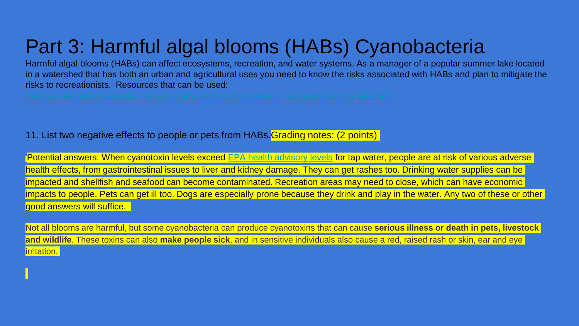### Part 3: Harmful algal blooms (HABs) Cyanobacteria

Harmful algal blooms (HABs) can affect ecosystems, recreation, and water systems. As a manager of a popular summer lake located in a watershed that has both an urban and agricultural uses you need to know the risks associated with HABs and plan to mitigate the risks to recreationists. Resources that can be used:

11. List two negative effects to people or pets from HABs.Grading notes: (2 points)

Potential answers: When cyanotoxin levels exceed [EPA health advisory levels](https://www.epa.gov/sites/production/files/2016-11/documents/harmful_algal_blooms_and_drinking_water_factsheet.pdf) for tap water, people are at risk of various adverse health effects, from gastrointestinal issues to liver and kidney damage. They can get rashes too. Drinking water supplies can be impacted and shellfish and seafood can become contaminated. Recreation areas may need to close, which can have economic impacts to people. Pets can get ill too. Dogs are especially prone because they drink and play in the water. Any two of these or other good answers will suffice.

Not all blooms are harmful, but some cyanobacteria can produce cyanotoxins that can cause **serious illness or death in pets, livestock and wildlife**. These toxins can also **make people sick**, and in sensitive individuals also cause a red, raised rash or skin, ear and eye irritation.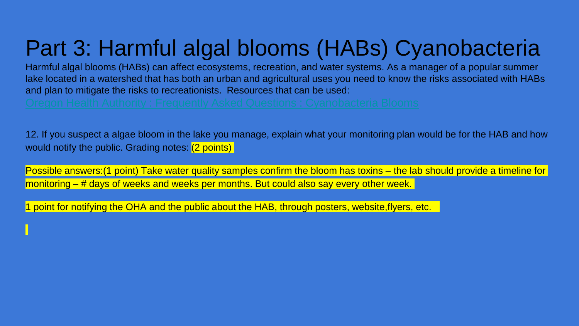## Part 3: Harmful algal blooms (HABs) Cyanobacteria

Harmful algal blooms (HABs) can affect ecosystems, recreation, and water systems. As a manager of a popular summer lake located in a watershed that has both an urban and agricultural uses you need to know the risks associated with HABs and plan to mitigate the risks to recreationists. Resources that can be used:

12. If you suspect a algae bloom in the lake you manage, explain what your monitoring plan would be for the HAB and how would notify the public. Grading notes: (2 points)

Possible answers: (1 point) Take water quality samples confirm the bloom has toxins – the lab should provide a timeline for monitoring – # days of weeks and weeks per months. But could also say every other week.

1 point for notifying the OHA and the public about the HAB, through posters, website,flyers, etc.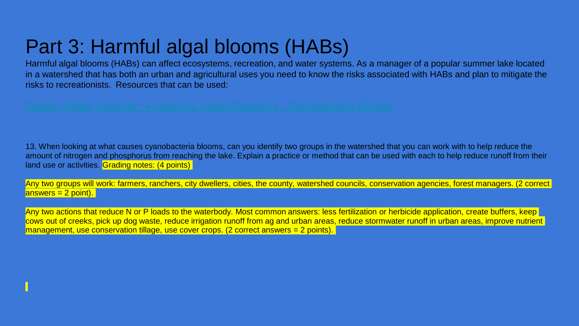Harmful algal blooms (HABs) can affect ecosystems, recreation, and water systems. As a manager of a popular summer lake located in a watershed that has both an urban and agricultural uses you need to know the risks associated with HABs and plan to mitigate the risks to recreationists. Resources that can be used:

13. When looking at what causes cyanobacteria blooms, can you identify two groups in the watershed that you can work with to help reduce the amount of nitrogen and phosphorus from reaching the lake. Explain a practice or method that can be used with each to help reduce runoff from their land use or activities. Grading notes: (4 points)

Any two groups will work: farmers, ranchers, city dwellers, cities, the county, watershed councils, conservation agencies, forest managers. (2 correct  $answers = 2 point).$ 

Any two actions that reduce N or P loads to the waterbody. Most common answers: less fertilization or herbicide application, create buffers, keep cows out of creeks, pick up dog waste, reduce irrigation runoff from ag and urban areas, reduce stormwater runoff in urban areas, improve nutrient management, use conservation tillage, use cover crops. (2 correct answers = 2 points).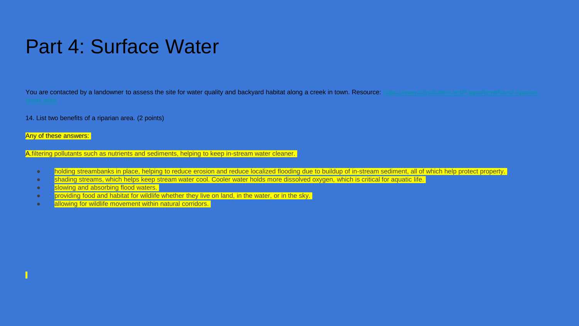[You are contacted by a landowner to assess the site for water quality and backyard habitat along a creek in town. Resource: https://www.cityofsalem.net/Pages/benefits-of-riparian-](https://www.cityofsalem.net/Pages/benefits-of-riparian-areas.aspx)

14. List two benefits of a riparian area. (2 points)

Any of these answers:

A.filtering pollutants such as nutrients and sediments, helping to keep in-stream water cleaner.

- holding streambanks in place, helping to reduce erosion and reduce localized flooding due to buildup of in-stream sediment, all of which help protect property.
- shading streams, which helps keep stream water cool. Cooler water holds more dissolved oxygen, which is critical for aquatic life.
- slowing and absorbing flood waters.
- providing food and habitat for wildlife whether they live on land, in the water, or in the sky.
- **allowing for wildlife movement within natural corridors.**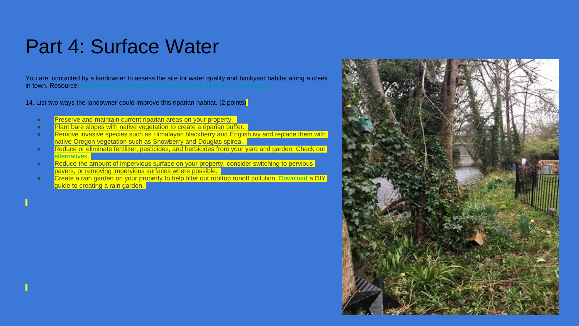You are contacted by a landowner to assess the site for water quality and backyard habitat along a creek in town. Resource: https://www.cityofsalem.net/Pages/

14. List two ways the landowner could improve this riparian habitat. (2 points)

- Preserve and maintain current riparian areas on your property.
- Plant bare slopes with native vegetation to create a riparian buffer.
- Remove invasive species such as Himalayan blackberry and English ivy and replace them with native Oregon vegetation such as Snowberry and Douglas spirea.
- Reduce or eliminate fertilizer, pesticides, and herbicides from your yard and garden. Check out **[alternatives.](https://www.cityofsalem.net/Pages/grow-a-healthy-lawn-and-garden.aspx)**
- Reduce the amount of impervious surface on your property, consider switching to pervious pavers, or removing impervious surfaces where possible.
- **Create a rain garden on your property to help filter out rooftop runoff pollution. [Download](https://www.cityofsalem.net/CityDocuments/stormwater-design-handbook-for-home-and-small-projects.pdf) a DIY** guide to creating a rain garden.

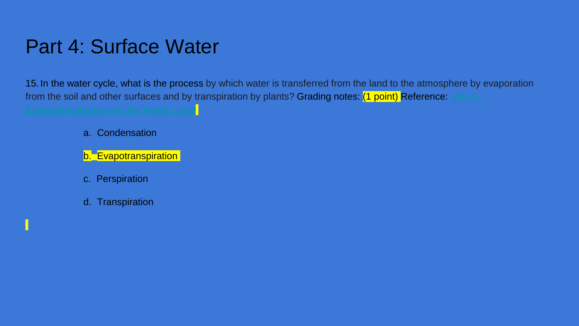15.In the water cycle, what is the process by which water is transferred from the land to the atmosphere by evaporation [from the soil and other surfaces and by transpiration by plants?](https://www.usgs.gov/special-topic/water-science-school/science/evapotranspiration-and-water-cycle?qt-science_center_objects=0#qt-science_center_objects) Grading notes:  $(1 \text{ point})$  Reference:  $USGS -$ </u> Evapotranspiration and the Water Cycle

- a. Condensation
- b. **Evapotranspiration**
- c. Perspiration
- d. Transpiration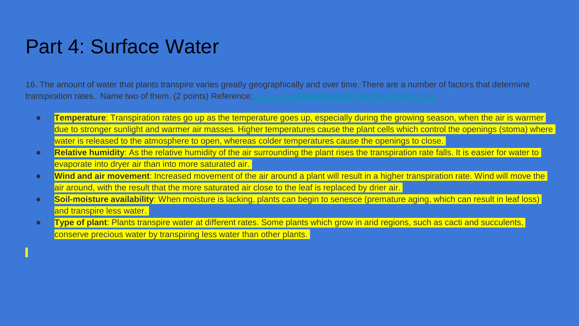16. The amount of water that plants transpire varies greatly geographically and over time. There are a number of factors that determine transpiration rates. Name two of them. (2 points) Reference: USGS – [Evapotranspiration and the Water Cycle](https://www.usgs.gov/special-topic/water-science-school/science/evapotranspiration-and-water-cycle?qt-science_center_objects=0#qt-science_center_objects)

- **Temperature**: Transpiration rates go up as the temperature goes up, especially during the growing season, when the air is warmer due to stronger sunlight and warmer air masses. Higher temperatures cause the plant cells which control the openings (stoma) where water is released to the atmosphere to open, whereas colder temperatures cause the openings to close.
- **Relative humidity**: As the relative humidity of the air surrounding the plant rises the transpiration rate falls. It is easier for water to evaporate into dryer air than into more saturated air.
- **Wind and air movement**: Increased movement of the air around a plant will result in a higher transpiration rate. Wind will move the air around, with the result that the more saturated air close to the leaf is replaced by drier air.
- **Soil-moisture availability**: When moisture is lacking, plants can begin to senesce (premature aging, which can result in leaf loss) and transpire less water.
- **Type of plant**: Plants transpire water at different rates. Some plants which grow in arid regions, such as cacti and succulents, conserve precious water by transpiring less water than other plants.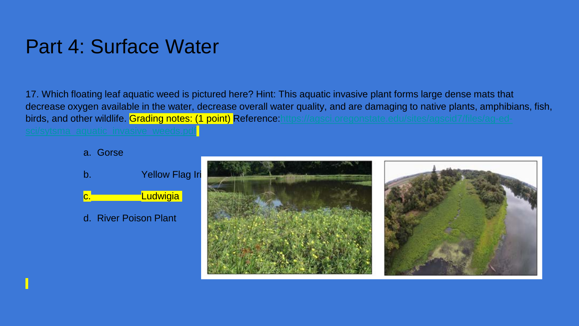17. Which floating leaf aquatic weed is pictured here? Hint: This aquatic invasive plant forms large dense mats that decrease oxygen available in the water, decrease overall water quality, and are damaging to native plants, amphibians, fish, birds, and other wildlife. Grading notes: (1 point) Reference: https://agsci.oregonstate.edu/sites/agscid7/files/ag-ed-

#### a. Gorse



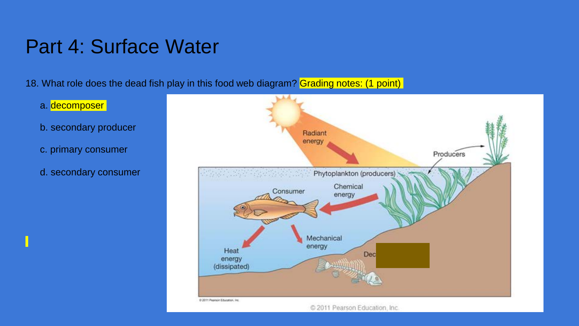18. What role does the dead fish play in this food web diagram? Grading notes: (1 point)

- a. decomposer
- b. secondary producer
- c. primary consumer
- d. secondary consumer

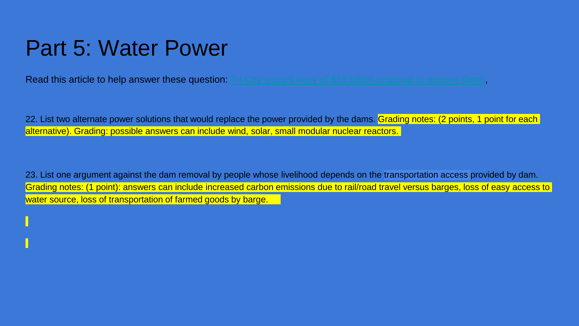### Part 5: Water Power

Read this article to help answer these question: [Tri-City groups leery of \\$33 billion proposal to remove dams](https://www.tri-cityherald.com/news/local/article248998910.html),

22. List two alternate power solutions that would replace the power provided by the dams. Grading notes: (2 points, 1 point for each alternative). Grading: possible answers can include wind, solar, small modular nuclear reactors.

23. List one argument against the dam removal by people whose livelihood depends on the transportation access provided by dam. Grading notes: (1 point): answers can include increased carbon emissions due to rail/road travel versus barges, loss of easy access to water source, loss of transportation of farmed goods by barge.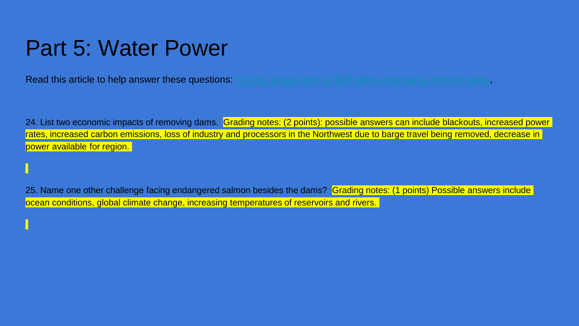### Part 5: Water Power

**Read this article to help answer these questions:** [Tri-City groups leery of \\$33 billion proposal to remove dams](https://www.tri-cityherald.com/news/local/article248998910.html),

24. List two economic impacts of removing dams. Grading notes: (2 points): possible answers can include blackouts, increased power rates, increased carbon emissions, loss of industry and processors in the Northwest due to barge travel being removed, decrease in power available for region.

25. Name one other challenge facing endangered salmon besides the dams? Grading notes: (1 points) Possible answers include ocean conditions, global climate change, increasing temperatures of reservoirs and rivers.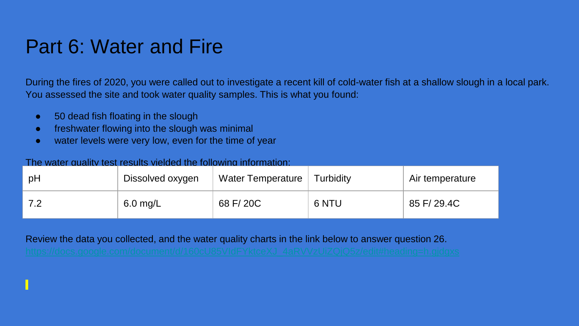#### Part 6: Water and Fire

During the fires of 2020, you were called out to investigate a recent kill of cold-water fish at a shallow slough in a local park. You assessed the site and took water quality samples. This is what you found:

- 50 dead fish floating in the slough
- freshwater flowing into the slough was minimal
- water levels were very low, even for the time of year

#### The water quality test results yielded the following information:

| рH | Dissolved oxygen | Water Temperature | Turbidity | Air temperature |
|----|------------------|-------------------|-----------|-----------------|
| 72 | $6.0$ mg/L       | 68 F/20C          | 6 NTU     | 85 F/ 29.4C     |

Review the data you collected, and the water quality charts in the link below to answer question 26.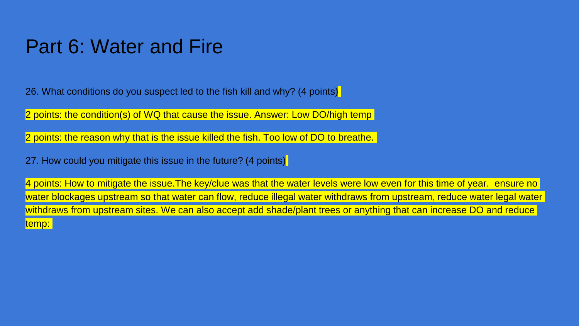#### Part 6: Water and Fire

26. What conditions do you suspect led to the fish kill and why? (4 points)

2 points: the condition(s) of WQ that cause the issue. Answer: Low DO/high temp

2 points: the reason why that is the issue killed the fish. Too low of DO to breathe.

27. How could you mitigate this issue in the future? (4 points)

4 points: How to mitigate the issue. The key/clue was that the water levels were low even for this time of year. ensure no water blockages upstream so that water can flow, reduce illegal water withdraws from upstream, reduce water legal water withdraws from upstream sites. We can also accept add shade/plant trees or anything that can increase DO and reduce temp: